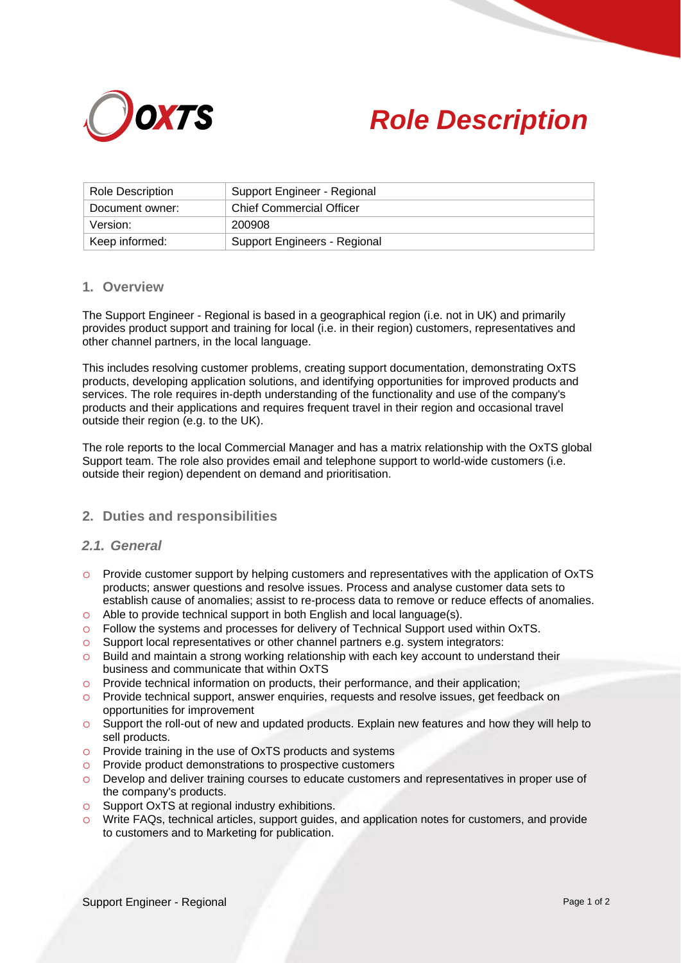



| Role Description | Support Engineer - Regional     |
|------------------|---------------------------------|
| Document owner:  | <b>Chief Commercial Officer</b> |
| Version:         | 200908                          |
| Keep informed:   | Support Engineers - Regional    |

## **1. Overview**

The Support Engineer - Regional is based in a geographical region (i.e. not in UK) and primarily provides product support and training for local (i.e. in their region) customers, representatives and other channel partners, in the local language.

This includes resolving customer problems, creating support documentation, demonstrating OxTS products, developing application solutions, and identifying opportunities for improved products and services. The role requires in-depth understanding of the functionality and use of the company's products and their applications and requires frequent travel in their region and occasional travel outside their region (e.g. to the UK).

The role reports to the local Commercial Manager and has a matrix relationship with the OxTS global Support team. The role also provides email and telephone support to world-wide customers (i.e. outside their region) dependent on demand and prioritisation.

## **2. Duties and responsibilities**

## *2.1. General*

- $\circ$  Provide customer support by helping customers and representatives with the application of OxTS products; answer questions and resolve issues. Process and analyse customer data sets to establish cause of anomalies; assist to re-process data to remove or reduce effects of anomalies.
- o Able to provide technical support in both English and local language(s).
- o Follow the systems and processes for delivery of Technical Support used within OxTS.
- o Support local representatives or other channel partners e.g. system integrators:
- o Build and maintain a strong working relationship with each key account to understand their business and communicate that within OxTS
- o Provide technical information on products, their performance, and their application;
- o Provide technical support, answer enquiries, requests and resolve issues, get feedback on opportunities for improvement
- o Support the roll-out of new and updated products. Explain new features and how they will help to sell products.
- o Provide training in the use of OxTS products and systems
- o Provide product demonstrations to prospective customers
- o Develop and deliver training courses to educate customers and representatives in proper use of the company's products.
- o Support OxTS at regional industry exhibitions.
- o Write FAQs, technical articles, support guides, and application notes for customers, and provide to customers and to Marketing for publication.